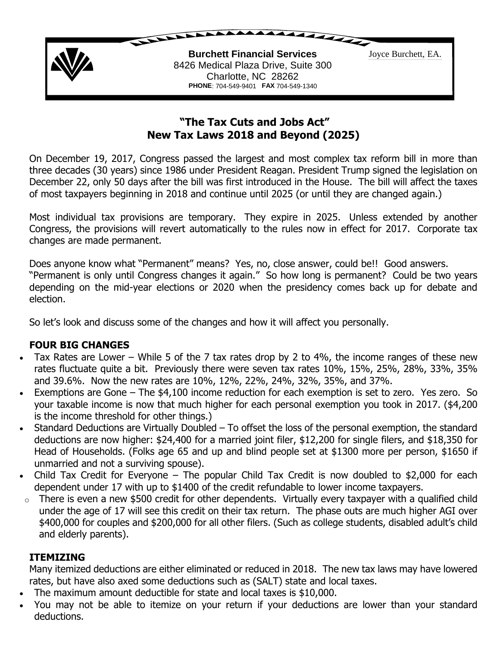

# **"The Tax Cuts and Jobs Act" New Tax Laws 2018 and Beyond (2025)**

On December 19, 2017, Congress passed the largest and most complex tax reform bill in more than three decades (30 years) since 1986 under President Reagan. President Trump signed the legislation on December 22, only 50 days after the bill was first introduced in the House. The bill will affect the taxes of most taxpayers beginning in 2018 and continue until 2025 (or until they are changed again.)

Most individual tax provisions are temporary. They expire in 2025. Unless extended by another Congress, the provisions will revert automatically to the rules now in effect for 2017. Corporate tax changes are made permanent.

Does anyone know what "Permanent" means? Yes, no, close answer, could be!! Good answers. "Permanent is only until Congress changes it again." So how long is permanent? Could be two years depending on the mid-year elections or 2020 when the presidency comes back up for debate and election.

So let's look and discuss some of the changes and how it will affect you personally.

## **FOUR BIG CHANGES**

- Tax Rates are Lower While 5 of the 7 tax rates drop by 2 to 4%, the income ranges of these new rates fluctuate quite a bit. Previously there were seven tax rates 10%, 15%, 25%, 28%, 33%, 35% and 39.6%. Now the new rates are 10%, 12%, 22%, 24%, 32%, 35%, and 37%.
- Exemptions are Gone The \$4,100 income reduction for each exemption is set to zero. Yes zero. So your taxable income is now that much higher for each personal exemption you took in 2017. (\$4,200 is the income threshold for other things.)
- Standard Deductions are Virtually Doubled To offset the loss of the personal exemption, the standard deductions are now higher: \$24,400 for a married joint filer, \$12,200 for single filers, and \$18,350 for Head of Households. (Folks age 65 and up and blind people set at \$1300 more per person, \$1650 if unmarried and not a surviving spouse).
- Child Tax Credit for Everyone The popular Child Tax Credit is now doubled to \$2,000 for each dependent under 17 with up to \$1400 of the credit refundable to lower income taxpayers.
- o There is even a new \$500 credit for other dependents. Virtually every taxpayer with a qualified child under the age of 17 will see this credit on their tax return. The phase outs are much higher AGI over \$400,000 for couples and \$200,000 for all other filers. (Such as college students, disabled adult's child and elderly parents).

#### **ITEMIZING**

Many itemized deductions are either eliminated or reduced in 2018. The new tax laws may have lowered rates, but have also axed some deductions such as (SALT) state and local taxes.

- The maximum amount deductible for state and local taxes is \$10,000.
- You may not be able to itemize on your return if your deductions are lower than your standard deductions.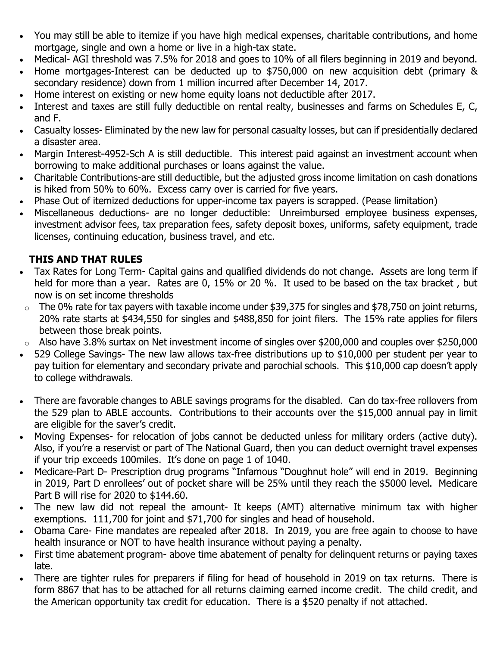- You may still be able to itemize if you have high medical expenses, charitable contributions, and home mortgage, single and own a home or live in a high-tax state.
- Medical- AGI threshold was 7.5% for 2018 and goes to 10% of all filers beginning in 2019 and beyond.
- Home mortgages-Interest can be deducted up to \$750,000 on new acquisition debt (primary & secondary residence) down from 1 million incurred after December 14, 2017.
- Home interest on existing or new home equity loans not deductible after 2017.
- Interest and taxes are still fully deductible on rental realty, businesses and farms on Schedules E, C, and F.
- Casualty losses- Eliminated by the new law for personal casualty losses, but can if presidentially declared a disaster area.
- Margin Interest-4952-Sch A is still deductible. This interest paid against an investment account when borrowing to make additional purchases or loans against the value.
- Charitable Contributions-are still deductible, but the adjusted gross income limitation on cash donations is hiked from 50% to 60%. Excess carry over is carried for five years.
- Phase Out of itemized deductions for upper-income tax payers is scrapped. (Pease limitation)
- Miscellaneous deductions- are no longer deductible: Unreimbursed employee business expenses, investment advisor fees, tax preparation fees, safety deposit boxes, uniforms, safety equipment, trade licenses, continuing education, business travel, and etc.

# **THIS AND THAT RULES**

- Tax Rates for Long Term- Capital gains and qualified dividends do not change. Assets are long term if held for more than a year. Rates are 0, 15% or 20 %. It used to be based on the tax bracket, but now is on set income thresholds
- $\circ$  The 0% rate for tax payers with taxable income under \$39,375 for singles and \$78,750 on joint returns, 20% rate starts at \$434,550 for singles and \$488,850 for joint filers. The 15% rate applies for filers between those break points.
- o Also have 3.8% surtax on Net investment income of singles over \$200,000 and couples over \$250,000
- 529 College Savings- The new law allows tax-free distributions up to \$10,000 per student per year to pay tuition for elementary and secondary private and parochial schools. This \$10,000 cap doesn't apply to college withdrawals.
- There are favorable changes to ABLE savings programs for the disabled. Can do tax-free rollovers from the 529 plan to ABLE accounts. Contributions to their accounts over the \$15,000 annual pay in limit are eligible for the saver's credit.
- Moving Expenses- for relocation of jobs cannot be deducted unless for military orders (active duty). Also, if you're a reservist or part of The National Guard, then you can deduct overnight travel expenses if your trip exceeds 100miles. It's done on page 1 of 1040.
- Medicare-Part D- Prescription drug programs "Infamous "Doughnut hole" will end in 2019. Beginning in 2019, Part D enrollees' out of pocket share will be 25% until they reach the \$5000 level. Medicare Part B will rise for 2020 to \$144.60.
- The new law did not repeal the amount- It keeps (AMT) alternative minimum tax with higher exemptions. 111,700 for joint and \$71,700 for singles and head of household.
- Obama Care- Fine mandates are repealed after 2018. In 2019, you are free again to choose to have health insurance or NOT to have health insurance without paying a penalty.
- First time abatement program- above time abatement of penalty for delinquent returns or paying taxes late.
- There are tighter rules for preparers if filing for head of household in 2019 on tax returns. There is form 8867 that has to be attached for all returns claiming earned income credit. The child credit, and the American opportunity tax credit for education. There is a \$520 penalty if not attached.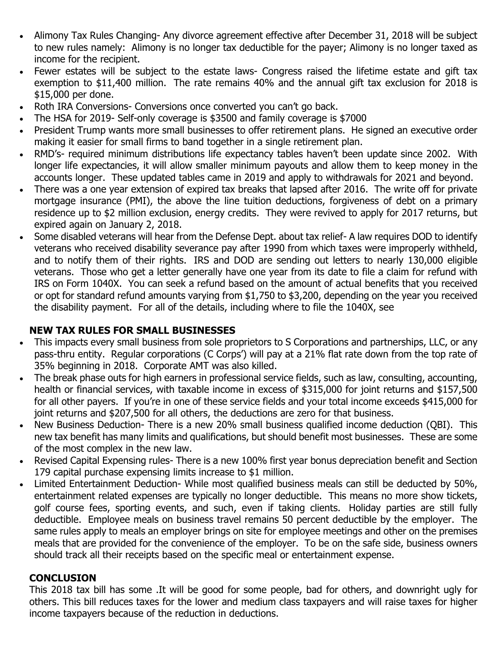- Alimony Tax Rules Changing- Any divorce agreement effective after December 31, 2018 will be subject to new rules namely: Alimony is no longer tax deductible for the payer; Alimony is no longer taxed as income for the recipient.
- Fewer estates will be subject to the estate laws- Congress raised the lifetime estate and gift tax exemption to \$11,400 million. The rate remains 40% and the annual gift tax exclusion for 2018 is \$15,000 per done.
- Roth IRA Conversions- Conversions once converted you can't go back.
- The HSA for 2019- Self-only coverage is \$3500 and family coverage is \$7000
- President Trump wants more small businesses to offer retirement plans. He signed an executive order making it easier for small firms to band together in a single retirement plan.
- RMD's- required minimum distributions life expectancy tables haven't been update since 2002. With longer life expectancies, it will allow smaller minimum payouts and allow them to keep money in the accounts longer. These updated tables came in 2019 and apply to withdrawals for 2021 and beyond.
- There was a one year extension of expired tax breaks that lapsed after 2016. The write off for private mortgage insurance (PMI), the above the line tuition deductions, forgiveness of debt on a primary residence up to \$2 million exclusion, energy credits. They were revived to apply for 2017 returns, but expired again on January 2, 2018.
- Some disabled veterans will hear from the Defense Dept. about tax relief- A law requires DOD to identify veterans who received disability severance pay after 1990 from which taxes were improperly withheld, and to notify them of their rights. IRS and DOD are sending out letters to nearly 130,000 eligible veterans. Those who get a letter generally have one year from its date to file a claim for refund with IRS on Form 1040X. You can seek a refund based on the amount of actual benefits that you received or opt for standard refund amounts varying from \$1,750 to \$3,200, depending on the year you received the disability payment. For all of the details, including where to file the 1040X, see

## **NEW TAX RULES FOR SMALL BUSINESSES**

- This impacts every small business from sole proprietors to S Corporations and partnerships, LLC, or any pass-thru entity. Regular corporations (C Corps') will pay at a 21% flat rate down from the top rate of 35% beginning in 2018. Corporate AMT was also killed.
- The break phase outs for high earners in professional service fields, such as law, consulting, accounting, health or financial services, with taxable income in excess of \$315,000 for joint returns and \$157,500 for all other payers. If you're in one of these service fields and your total income exceeds \$415,000 for joint returns and \$207,500 for all others, the deductions are zero for that business.
- New Business Deduction- There is a new 20% small business qualified income deduction (QBI). This new tax benefit has many limits and qualifications, but should benefit most businesses. These are some of the most complex in the new law.
- Revised Capital Expensing rules- There is a new 100% first year bonus depreciation benefit and Section 179 capital purchase expensing limits increase to \$1 million.
- Limited Entertainment Deduction- While most qualified business meals can still be deducted by 50%, entertainment related expenses are typically no longer deductible. This means no more show tickets, golf course fees, sporting events, and such, even if taking clients. Holiday parties are still fully deductible. Employee meals on business travel remains 50 percent deductible by the employer. The same rules apply to meals an employer brings on site for employee meetings and other on the premises meals that are provided for the convenience of the employer. To be on the safe side, business owners should track all their receipts based on the specific meal or entertainment expense.

#### **CONCLUSION**

This 2018 tax bill has some .It will be good for some people, bad for others, and downright ugly for others. This bill reduces taxes for the lower and medium class taxpayers and will raise taxes for higher income taxpayers because of the reduction in deductions.